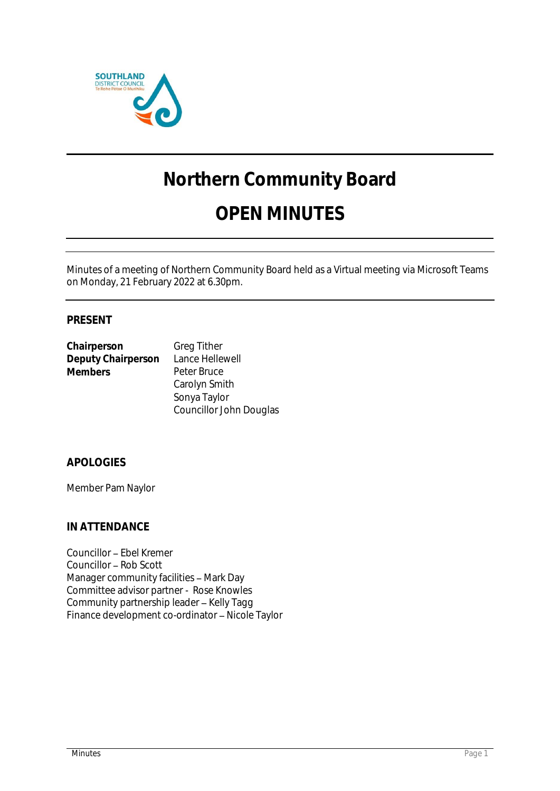

# **Northern Community Board**

# **OPEN MINUTES**

Minutes of a meeting of Northern Community Board held as a Virtual meeting via Microsoft Teams on Monday, 21 February 2022 at 6.30pm.

# **PRESENT**

| Chairperson        | <b>Greg Tither</b> |
|--------------------|--------------------|
| Deputy Chairperson | Lance Hellewell    |
| <b>Members</b>     | Peter Bruce        |
|                    | Carolyn Smith      |
|                    | Sonya Taylor       |

Councillor John Douglas

# **APOLOGIES**

Member Pam Naylor

## **IN ATTENDANCE**

Councillor - Ebel Kremer Councillor - Rob Scott Manager community facilities - Mark Day Committee advisor partner - Rose Knowles Community partnership leader - Kelly Tagg Finance development co-ordinator - Nicole Taylor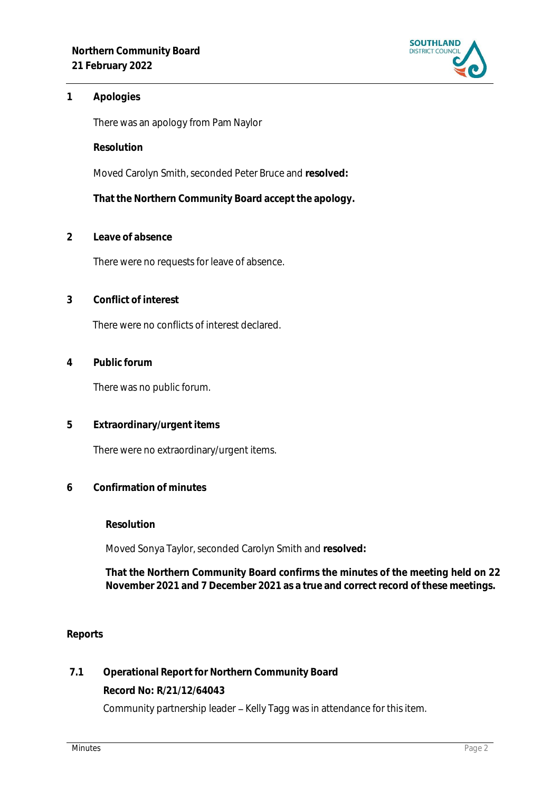

## **1 Apologies**

There was an apology from Pam Naylor

**Resolution**

Moved Carolyn Smith, seconded Peter Bruce and **resolved:**

**That the Northern Community Board accept the apology.**

**2 Leave of absence** 

There were no requests for leave of absence.

**3 Conflict of interest**

There were no conflicts of interest declared.

**4 Public forum**

There was no public forum.

**5 Extraordinary/urgent items**

There were no extraordinary/urgent items.

**6 Confirmation of minutes**

**Resolution**

Moved Sonya Taylor, seconded Carolyn Smith and **resolved:**

**That the Northern Community Board confirms the minutes of the meeting held on 22 November 2021 and 7 December 2021 as a true and correct record of these meetings.**

### **Reports**

**7.1 Operational Report for Northern Community Board Record No: R/21/12/64043** Community partnership leader - Kelly Tagg was in attendance for this item.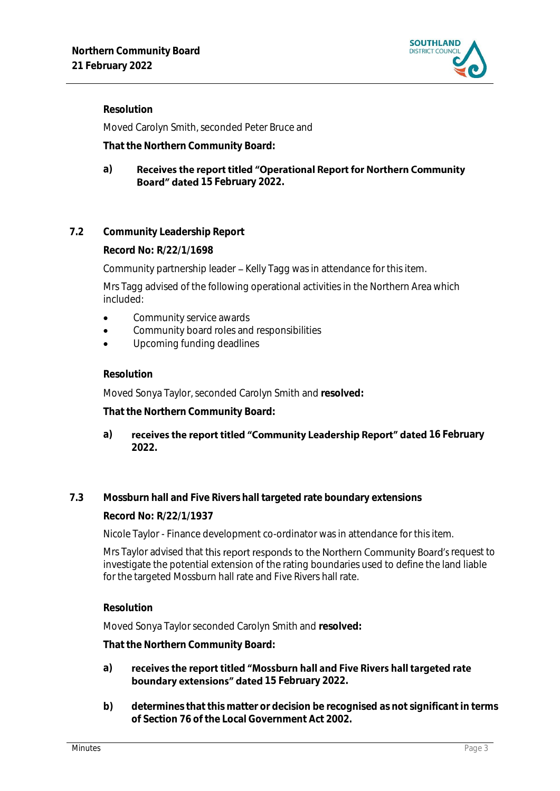

**Resolution**

Moved Carolyn Smith, seconded Peter Bruce and

**That the Northern Community Board:**

#### **a)** Receives the report titled "Operational Report for Northern Community Board" dated 15 February 2022.

# **7.2 Community Leadership Report**

**Record No: R/22/1/1698**

Community partnership leader - Kelly Tagg was in attendance for this item.

Mrs Tagg advised of the following operational activities in the Northern Area which included:

- Community service awards
- **•** Community board roles and responsibilities
- Upcoming funding deadlines

### **Resolution**

Moved Sonya Taylor, seconded Carolyn Smith and **resolved:**

**That the Northern Community Board:**

a) **receives the report titled "Community Leadership Report" dated 16 February 2022.**

### **7.3 Mossburn hall and Five Rivers hall targeted rate boundary extensions**

**Record No: R/22/1/1937**

Nicole Taylor - Finance development co-ordinator was in attendance for this item.

Mrs Taylor advised that this report responds to the Northern Community Board's request to investigate the potential extension of the rating boundaries used to define the land liable for the targeted Mossburn hall rate and Five Rivers hall rate.

### **Resolution**

Moved Sonya Taylor seconded Carolyn Smith and **resolved:**

**That the Northern Community Board:**

#### **a)** receives the report titled "Mossburn hall and Five Rivers hall targeted rate **boundary extensions" dated** 15 February 2022.

**b) determines that this matter or decision be recognised as not significant in terms of Section 76 of the Local Government Act 2002.**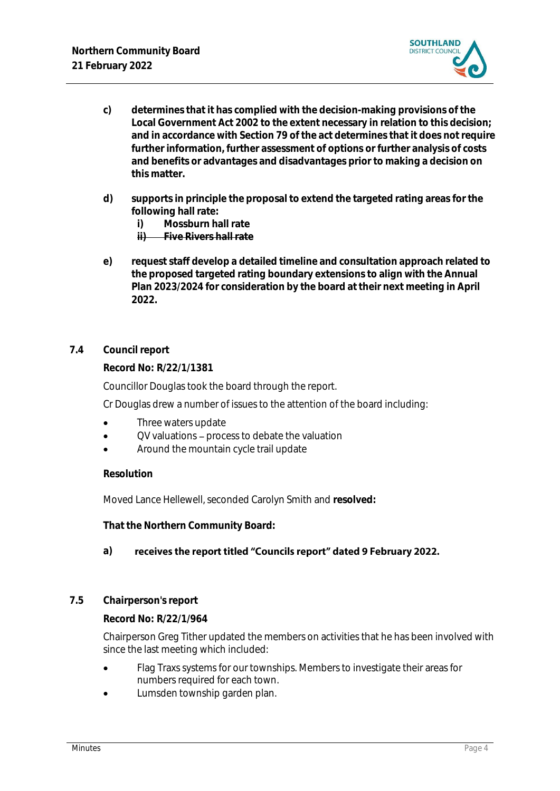

- **c) determines that it has complied with the decision-making provisions of the Local Government Act 2002 to the extent necessary in relation to this decision; and in accordance with Section 79 of the act determines that it does not require further information, further assessment of options or further analysis of costs and benefits or advantages and disadvantages prior to making a decision on this matter.**
- **d) supports in principle the proposal to extend the targeted rating areas for the following hall rate:**
	- **i) Mossburn hall rate**

**ii) Five Rivers hall rate**

- **e) request staff develop a detailed timeline and consultation approach related to the proposed targeted rating boundary extensions to align with the Annual Plan 2023/2024 for consideration by the board at their next meeting in April 2022.**
- **7.4 Council report**

**Record No: R/22/1/1381**

Councillor Douglas took the board through the report.

Cr Douglas drew a number of issues to the attention of the board including:

- Three waters update
- OV valuations process to debate the valuation
- Around the mountain cycle trail update

## **Resolution**

Moved Lance Hellewell, seconded Carolyn Smith and **resolved:**

**That the Northern Community Board:**

#### **a)**  receives the report titled "Councils report" dated 9 February 2022.

### **7.5 Chairperson's report**

**Record No: R/22/1/964**

Chairperson Greg Tither updated the members on activities that he has been involved with since the last meeting which included:

- Flag Traxs systems for our townships. Members to investigate their areas for numbers required for each town.
- Lumsden township garden plan.